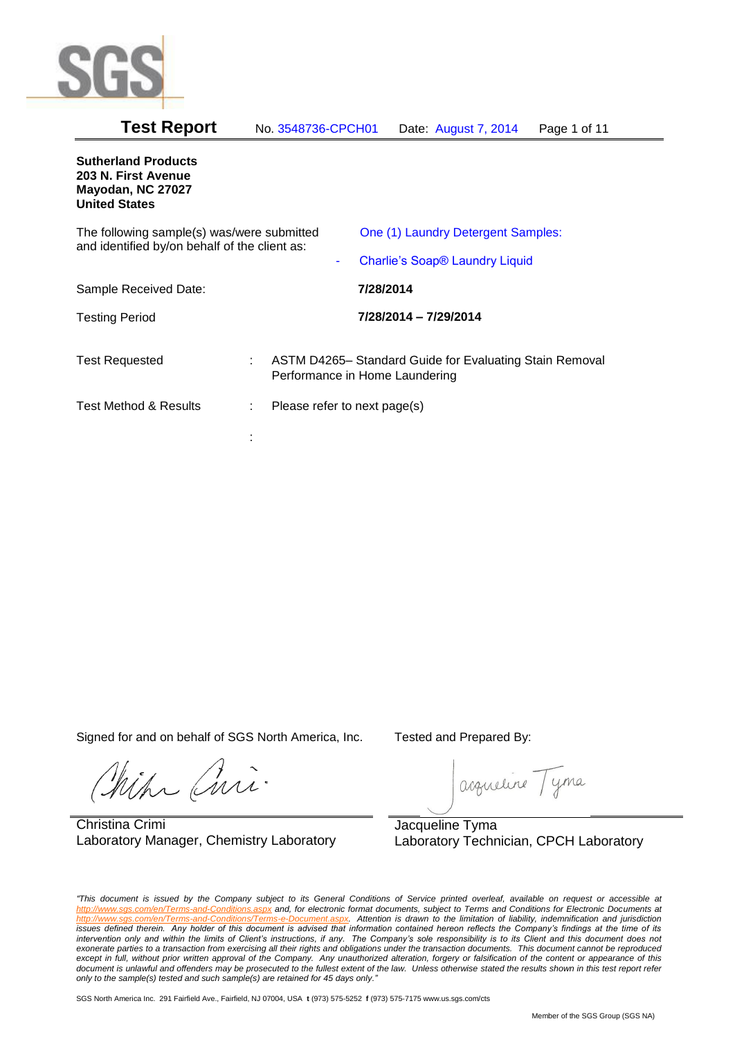

| <b>Test Report</b><br>No. 3548736-CPCH01<br>Date: August 7, 2014 | Page 1 of 11 |
|------------------------------------------------------------------|--------------|
|------------------------------------------------------------------|--------------|

# **Sutherland Products 203 N. First Avenue Mayodan, NC 27027 United States** The following sample(s) was/were submitted and identified by/on behalf of the client as: One (1) Laundry Detergent Samples: Charlie's Soap® Laundry Liquid Sample Received Date: **7/28/2014** Testing Period **7/28/2014 – 7/29/2014** Test Requested : ASTM D4265– Standard Guide for Evaluating Stain Removal Performance in Home Laundering Test Method & Results : Please refer to next page(s) :

Signed for and on behalf of SGS North America, Inc. Tested and Prepared By:

ich Curi

Christina Crimi Laboratory Manager, Chemistry Laboratory

acqueline Tyma

Jacqueline Tyma Laboratory Technician, CPCH Laboratory

*"This document is issued by the Company subject to its General Conditions of Service printed overleaf, available on request or accessible at http://www.sgs.com/en/Terms-and-Conditions.aspx and, for electronic format documents, subject to Terms and Conditions for Electronic Documents at*  Attention is drawn to the limitation of liability, indemnification and jurisdiction *issues defined therein. Any holder of this document is advised that information contained hereon reflects the Company's findings at the time of its intervention only and within the limits of Client's instructions, if any. The Company's sole responsibility is to its Client and this document does not*  exonerate parties to a transaction from exercising all their rights and obligations under the transaction documents. This document cannot be reproduced except in full, without prior written approval of the Company. Any unauthorized alteration, forgery or falsification of the content or appearance of this document is unlawful and offenders may be prosecuted to the fullest extent of the law. Unless otherwise stated the results shown in this test report refer *only to the sample(s) tested and such sample(s) are retained for 45 days only."*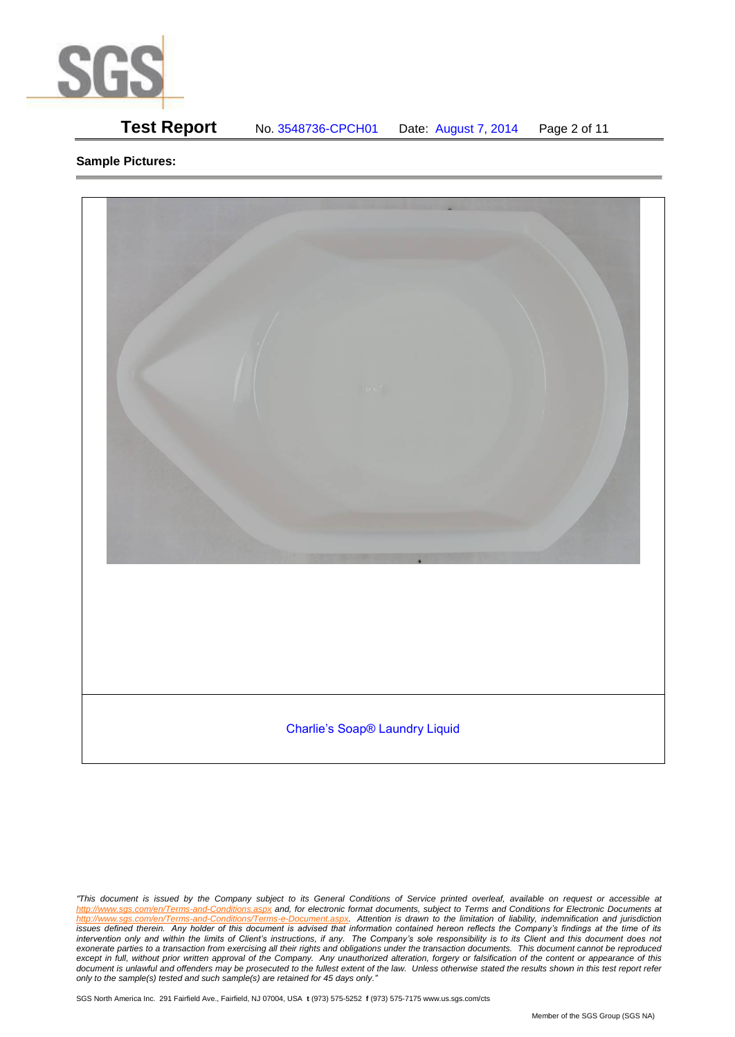

# **Test Report** No. 3548736-CPCH01 Date: August 7, 2014 Page 2 of 11

## **Sample Pictures:**



*<sup>&</sup>quot;This document is issued by the Company subject to its General Conditions of Service printed overleaf, available on request or accessible at http://www.sgs.com/en/Terms-and-Conditions.aspx and, for electronic format documents, subject to Terms and Conditions for Electronic Documents at*  Attention is drawn to the limitation of liability, indemnification and jurisdiction *issues defined therein. Any holder of this document is advised that information contained hereon reflects the Company's findings at the time of its intervention only and within the limits of Client's instructions, if any. The Company's sole responsibility is to its Client and this document does not*  exonerate parties to a transaction from exercising all their rights and obligations under the transaction documents. This document cannot be reproduced except in full, without prior written approval of the Company. Any unauthorized alteration, forgery or falsification of the content or appearance of this document is unlawful and offenders may be prosecuted to the fullest extent of the law. Unless otherwise stated the results shown in this test report refer *only to the sample(s) tested and such sample(s) are retained for 45 days only."*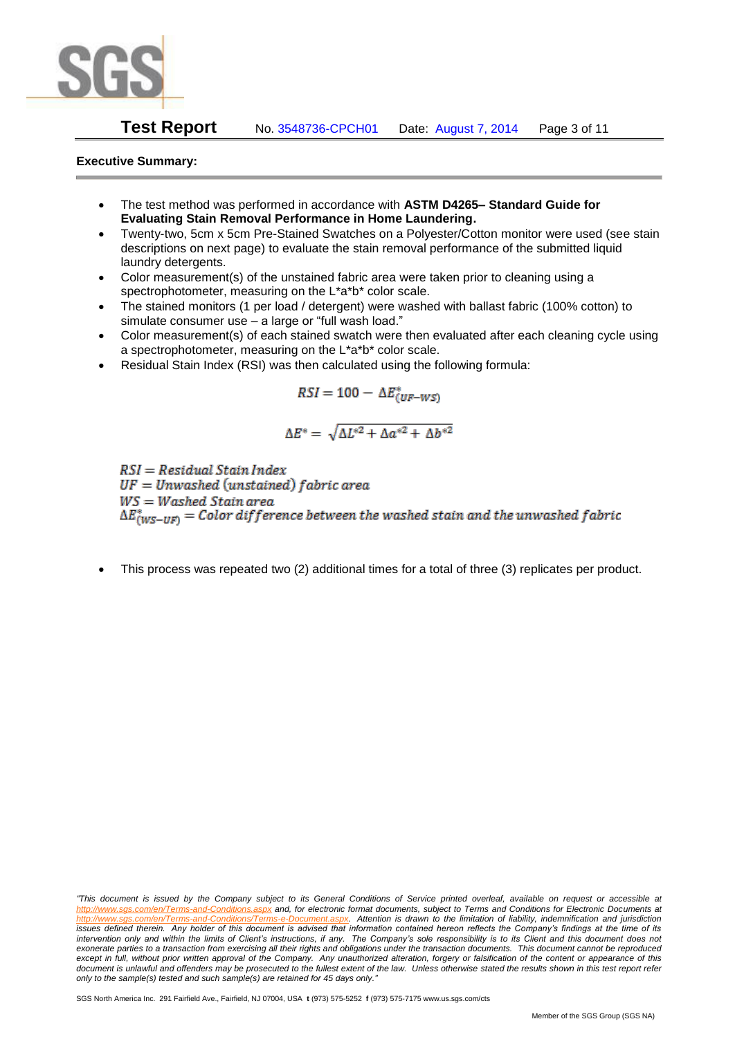

## **Test Report** No. 3548736-CPCH01 Date: August 7, 2014 Page 3 of 11

### **Executive Summary:**

- The test method was performed in accordance with **ASTM D4265– Standard Guide for Evaluating Stain Removal Performance in Home Laundering.**
- Twenty-two, 5cm x 5cm Pre-Stained Swatches on a Polyester/Cotton monitor were used (see stain descriptions on next page) to evaluate the stain removal performance of the submitted liquid laundry detergents.
- Color measurement(s) of the unstained fabric area were taken prior to cleaning using a spectrophotometer, measuring on the L\*a\*b\* color scale.
- The stained monitors (1 per load / detergent) were washed with ballast fabric (100% cotton) to simulate consumer use – a large or "full wash load."
- Color measurement(s) of each stained swatch were then evaluated after each cleaning cycle using a spectrophotometer, measuring on the L\*a\*b\* color scale.
- Residual Stain Index (RSI) was then calculated using the following formula:

$$
RSI = 100 - \Delta E^*_{(UF-WS)}
$$

$$
\Delta E^* = \sqrt{\Delta L^{*2} + \Delta a^{*2} + \Delta b^{*2}}
$$

 $RSI = Residual Stain Index$  $UF = Unwashed$  (unstained) fabric area  $WS = Washed$  Stain area  $\Delta E^*_{(WS-HF)} = Color\ difference\ between\ the\ washed\ strain\ and\ the\ unwashed\ fabric$ 

This process was repeated two (2) additional times for a total of three (3) replicates per product.

*<sup>&</sup>quot;This document is issued by the Company subject to its General Conditions of Service printed overleaf, available on request or accessible at http://www.sgs.com/en/Terms-and-Conditions.aspx and, for electronic format documents, subject to Terms and Conditions for Electronic Documents at*  Attention is drawn to the limitation of liability, indemnification and jurisdiction *issues defined therein. Any holder of this document is advised that information contained hereon reflects the Company's findings at the time of its intervention only and within the limits of Client's instructions, if any. The Company's sole responsibility is to its Client and this document does not*  exonerate parties to a transaction from exercising all their rights and obligations under the transaction documents. This document cannot be reproduced except in full, without prior written approval of the Company. Any unauthorized alteration, forgery or falsification of the content or appearance of this document is unlawful and offenders may be prosecuted to the fullest extent of the law. Unless otherwise stated the results shown in this test report refer *only to the sample(s) tested and such sample(s) are retained for 45 days only."*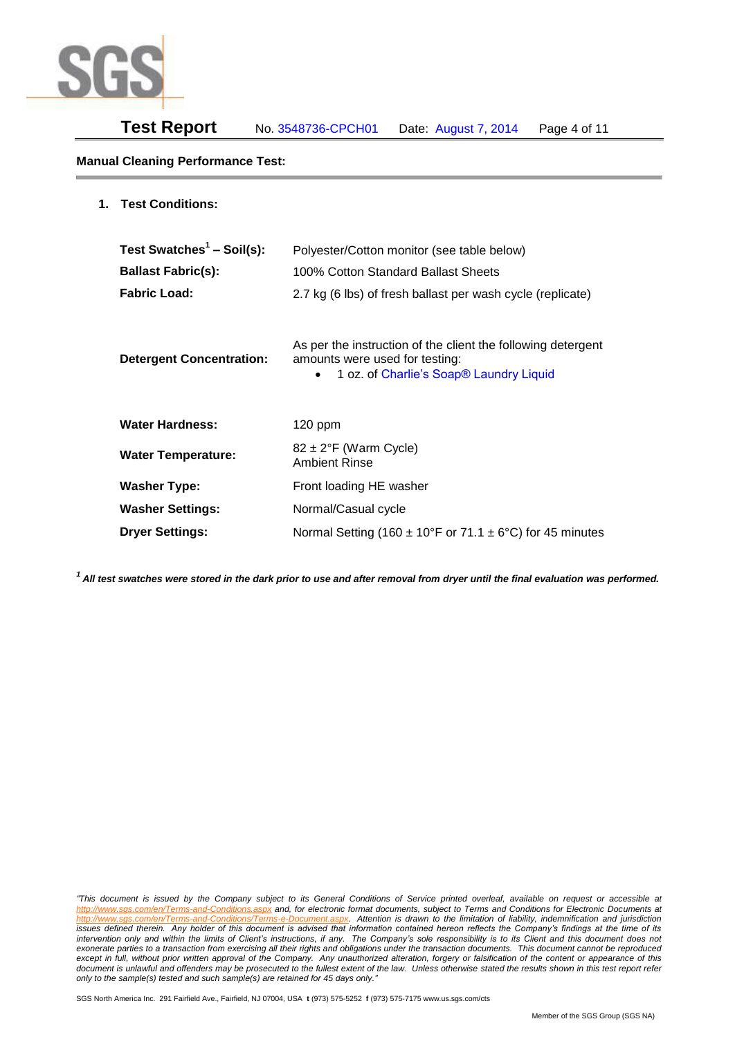

## **Manual Cleaning Performance Test:**

| <b>Test Conditions:</b><br>1. |
|-------------------------------|
|-------------------------------|

| Test Swatches <sup>1</sup> - Soil(s):<br><b>Ballast Fabric(s):</b><br><b>Fabric Load:</b> | Polyester/Cotton monitor (see table below)<br>100% Cotton Standard Ballast Sheets<br>2.7 kg (6 lbs) of fresh ballast per wash cycle (replicate)                    |
|-------------------------------------------------------------------------------------------|--------------------------------------------------------------------------------------------------------------------------------------------------------------------|
| <b>Detergent Concentration:</b>                                                           | As per the instruction of the client the following detergent<br>amounts were used for testing:<br>1 oz. of Charlie's Soap <sup>®</sup> Laundry Liquid<br>$\bullet$ |
| <b>Water Hardness:</b>                                                                    | $120$ ppm                                                                                                                                                          |
| <b>Water Temperature:</b>                                                                 | $82 \pm 2$ °F (Warm Cycle)<br><b>Ambient Rinse</b>                                                                                                                 |
| <b>Washer Type:</b>                                                                       | Front loading HE washer                                                                                                                                            |
| <b>Washer Settings:</b>                                                                   | Normal/Casual cycle                                                                                                                                                |
| <b>Dryer Settings:</b>                                                                    | Normal Setting (160 $\pm$ 10°F or 71.1 $\pm$ 6°C) for 45 minutes                                                                                                   |

*<sup>1</sup>All test swatches were stored in the dark prior to use and after removal from dryer until the final evaluation was performed.* 

*"This document is issued by the Company subject to its General Conditions of Service printed overleaf, available on request or accessible at http://www.sgs.com/en/Terms-and-Conditions.aspx and, for electronic format documents, subject to Terms and Conditions for Electronic Documents at*  Attention is drawn to the limitation of liability, indemnification and jurisdiction *issues defined therein. Any holder of this document is advised that information contained hereon reflects the Company's findings at the time of its intervention only and within the limits of Client's instructions, if any. The Company's sole responsibility is to its Client and this document does not*  exonerate parties to a transaction from exercising all their rights and obligations under the transaction documents. This document cannot be reproduced except in full, without prior written approval of the Company. Any unauthorized alteration, forgery or falsification of the content or appearance of this document is unlawful and offenders may be prosecuted to the fullest extent of the law. Unless otherwise stated the results shown in this test report refer *only to the sample(s) tested and such sample(s) are retained for 45 days only."*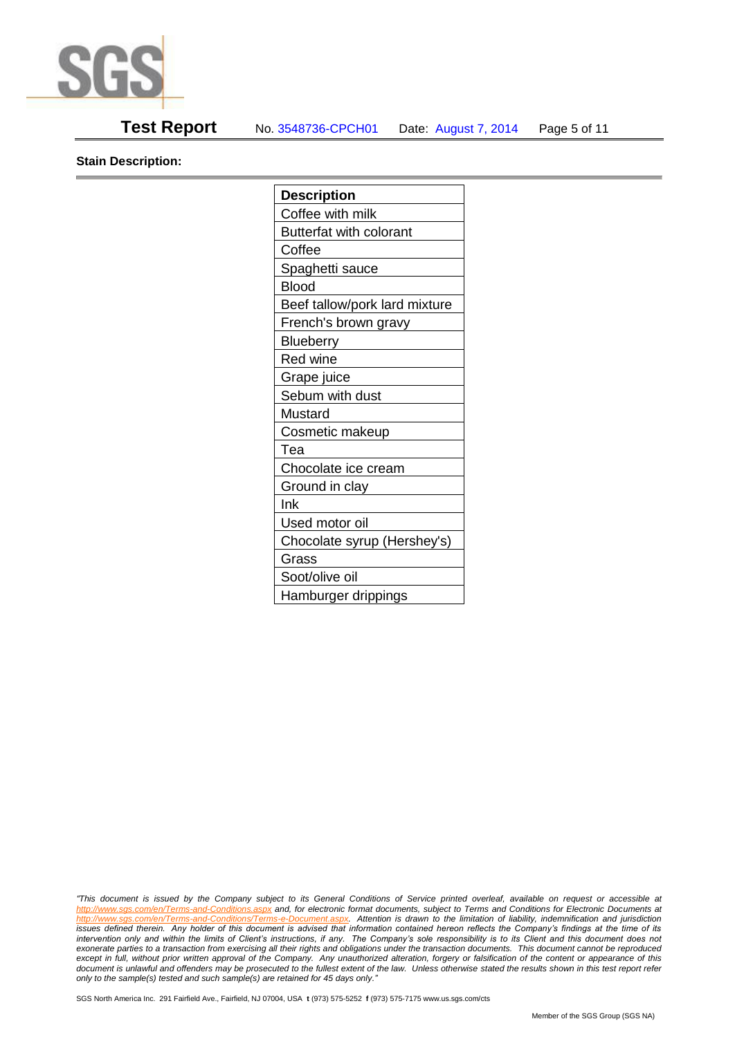

## **Test Report** No. 3548736-CPCH01 Date: August 7, 2014 Page 5 of 11

**Stain Description:** 

| <b>Description</b>             |
|--------------------------------|
| Coffee with milk               |
| <b>Butterfat with colorant</b> |
| Coffee                         |
| Spaghetti sauce                |
| <b>Blood</b>                   |
| Beef tallow/pork lard mixture  |
| French's brown gravy           |
| <b>Blueberry</b>               |
| <b>Red wine</b>                |
| Grape juice                    |
| Sebum with dust                |
| Mustard                        |
| Cosmetic makeup                |
| Tea                            |
| Chocolate ice cream            |
| Ground in clay                 |
| Ink                            |
| Used motor oil                 |
| Chocolate syrup (Hershey's)    |
| Grass                          |
| Soot/olive oil                 |
| Hamburger drippings            |

*"This document is issued by the Company subject to its General Conditions of Service printed overleaf, available on request or accessible at http://www.sgs.com/en/Terms-and-Conditions.aspx and, for electronic format documents, subject to Terms and Conditions for Electronic Documents at*  Attention is drawn to the limitation of liability, indemnification and jurisdiction *issues defined therein. Any holder of this document is advised that information contained hereon reflects the Company's findings at the time of its intervention only and within the limits of Client's instructions, if any. The Company's sole responsibility is to its Client and this document does not*  exonerate parties to a transaction from exercising all their rights and obligations under the transaction documents. This document cannot be reproduced except in full, without prior written approval of the Company. Any unauthorized alteration, forgery or falsification of the content or appearance of this document is unlawful and offenders may be prosecuted to the fullest extent of the law. Unless otherwise stated the results shown in this test report refer *only to the sample(s) tested and such sample(s) are retained for 45 days only."*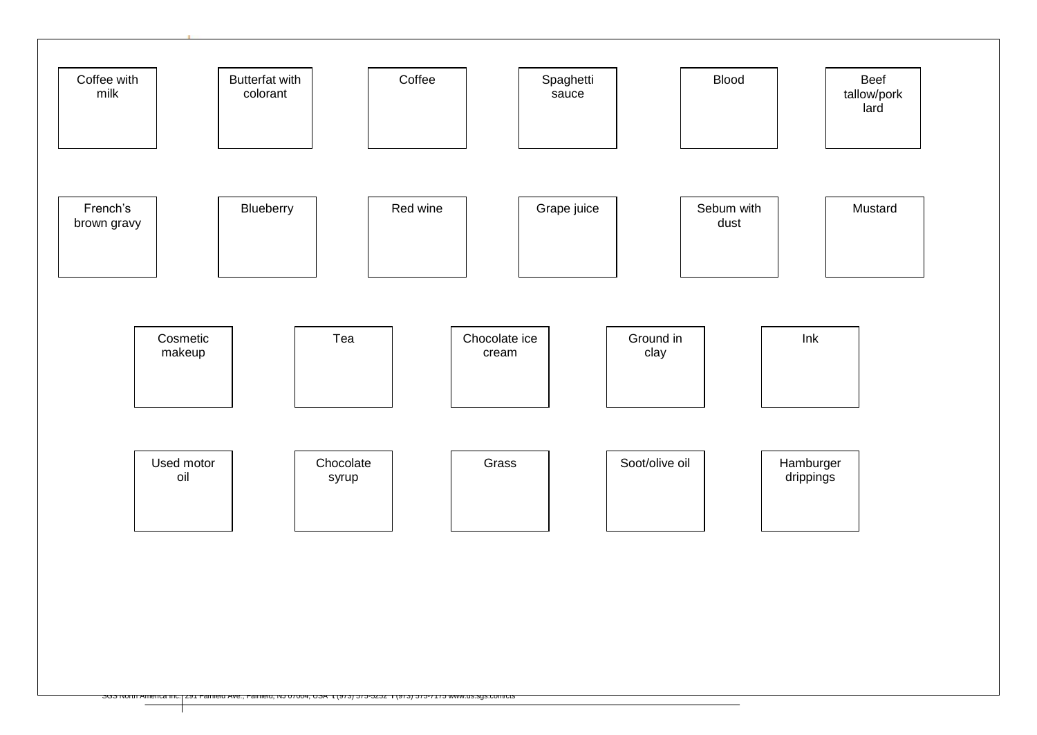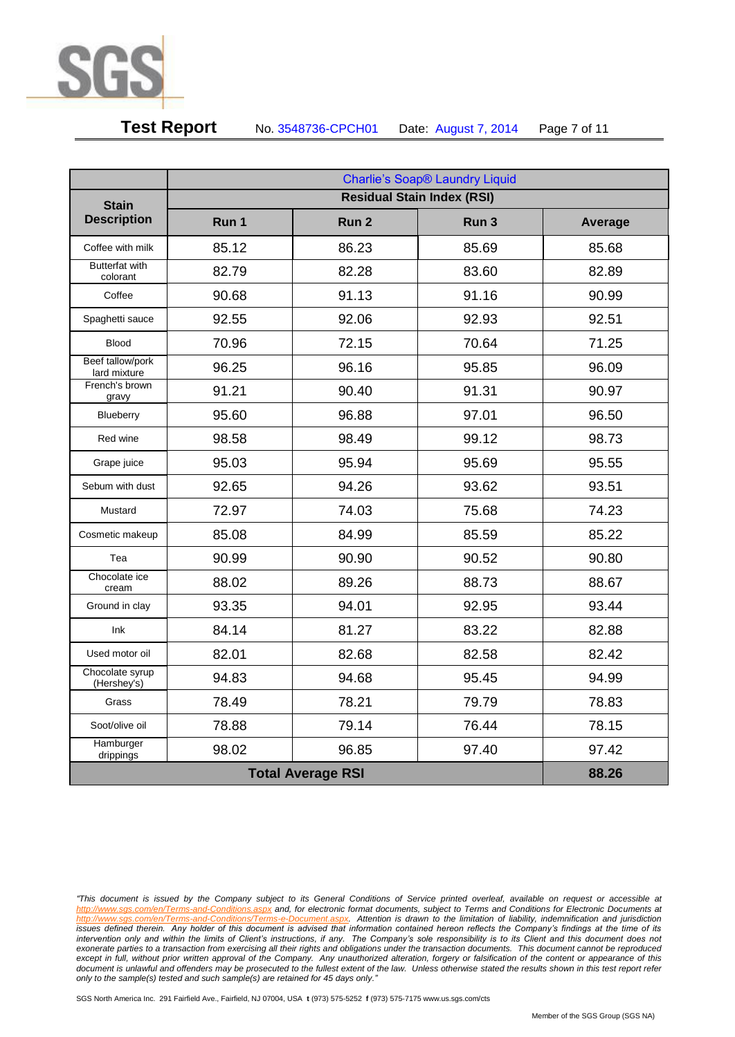

# **Test Report** No. 3548736-CPCH01 Date: August 7, 2014 Page 7 of 11

|                                   | <b>Charlie's Soap® Laundry Liquid</b> |                  |       |         |
|-----------------------------------|---------------------------------------|------------------|-------|---------|
| <b>Stain</b>                      |                                       |                  |       |         |
| <b>Description</b>                | Run 1                                 | Run <sub>2</sub> | Run 3 | Average |
| Coffee with milk                  | 85.12                                 | 86.23            | 85.69 | 85.68   |
| <b>Butterfat with</b><br>colorant | 82.79                                 | 82.28            | 83.60 | 82.89   |
| Coffee                            | 90.68                                 | 91.13            | 91.16 | 90.99   |
| Spaghetti sauce                   | 92.55                                 | 92.06            | 92.93 | 92.51   |
| <b>Blood</b>                      | 70.96                                 | 72.15            | 70.64 | 71.25   |
| Beef tallow/pork<br>lard mixture  | 96.25                                 | 96.16            | 95.85 | 96.09   |
| French's brown<br>gravy           | 91.21                                 | 90.40            | 91.31 | 90.97   |
| Blueberry                         | 95.60                                 | 96.88            | 97.01 | 96.50   |
| Red wine                          | 98.58                                 | 98.49            | 99.12 | 98.73   |
| Grape juice                       | 95.03                                 | 95.94            | 95.69 | 95.55   |
| Sebum with dust                   | 92.65                                 | 94.26            | 93.62 | 93.51   |
| Mustard                           | 72.97                                 | 74.03            | 75.68 | 74.23   |
| Cosmetic makeup                   | 85.08                                 | 84.99            | 85.59 | 85.22   |
| Tea                               | 90.99                                 | 90.90            | 90.52 | 90.80   |
| Chocolate ice<br>cream            | 88.02                                 | 89.26            | 88.73 | 88.67   |
| Ground in clay                    | 93.35                                 | 94.01            | 92.95 | 93.44   |
| Ink                               | 84.14                                 | 81.27            | 83.22 | 82.88   |
| Used motor oil                    | 82.01                                 | 82.68            | 82.58 | 82.42   |
| Chocolate syrup<br>(Hershey's)    | 94.83                                 | 94.68            | 95.45 | 94.99   |
| Grass                             | 78.49                                 | 78.21            | 79.79 | 78.83   |
| Soot/olive oil                    | 78.88                                 | 79.14            | 76.44 | 78.15   |
| Hamburger<br>drippings            | 98.02                                 | 96.85            | 97.40 | 97.42   |
| <b>Total Average RSI</b>          |                                       |                  | 88.26 |         |

*<sup>&</sup>quot;This document is issued by the Company subject to its General Conditions of Service printed overleaf, available on request or accessible at http://www.sgs.com/en/Terms-and-Conditions.aspx and, for electronic format documents, subject to Terms and Conditions for Electronic Documents at*  Attention is drawn to the limitation of liability, indemnification and jurisdiction *issues defined therein. Any holder of this document is advised that information contained hereon reflects the Company's findings at the time of its intervention only and within the limits of Client's instructions, if any. The Company's sole responsibility is to its Client and this document does not*  exonerate parties to a transaction from exercising all their rights and obligations under the transaction documents. This document cannot be reproduced except in full, without prior written approval of the Company. Any unauthorized alteration, forgery or falsification of the content or appearance of this document is unlawful and offenders may be prosecuted to the fullest extent of the law. Unless otherwise stated the results shown in this test report refer *only to the sample(s) tested and such sample(s) are retained for 45 days only."*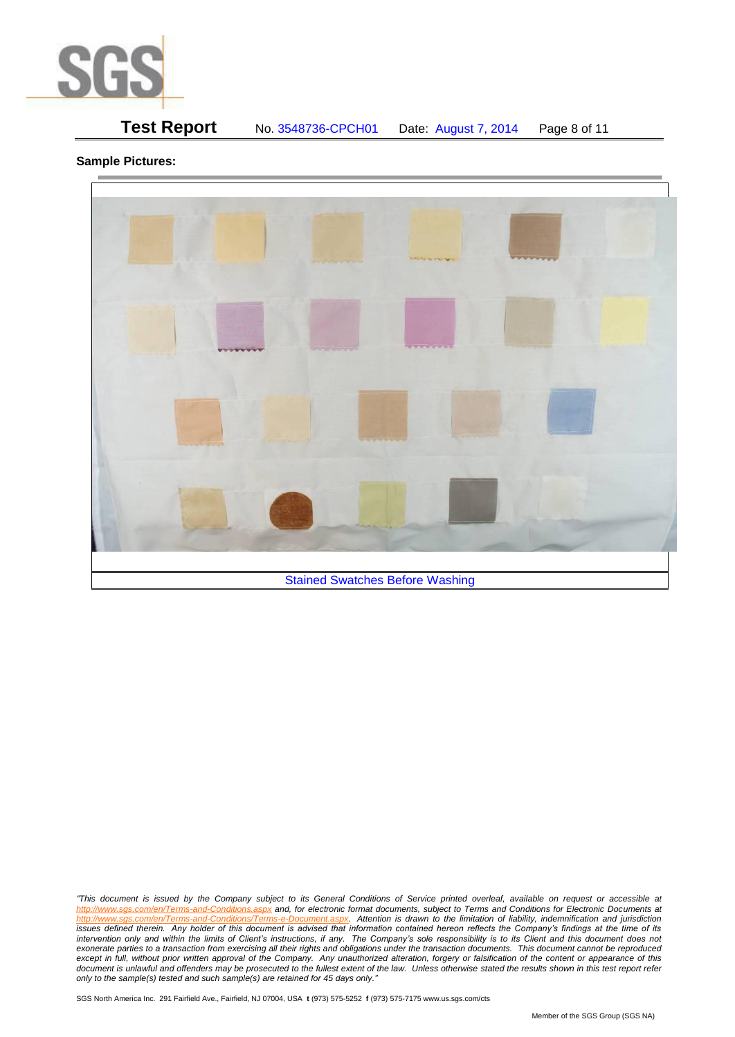

# **Test Report** No. 3548736-CPCH01 Date: August 7, 2014 Page 8 of 11

## **Sample Pictures:**



*"This document is issued by the Company subject to its General Conditions of Service printed overleaf, available on request or accessible at http://www.sgs.com/en/Terms-and-Conditions.aspx and, for electronic format documents, subject to Terms and Conditions for Electronic Documents at*  Attention is drawn to the limitation of liability, indemnification and jurisdiction *issues defined therein. Any holder of this document is advised that information contained hereon reflects the Company's findings at the time of its intervention only and within the limits of Client's instructions, if any. The Company's sole responsibility is to its Client and this document does not*  exonerate parties to a transaction from exercising all their rights and obligations under the transaction documents. This document cannot be reproduced except in full, without prior written approval of the Company. Any unauthorized alteration, forgery or falsification of the content or appearance of this document is unlawful and offenders may be prosecuted to the fullest extent of the law. Unless otherwise stated the results shown in this test report refer *only to the sample(s) tested and such sample(s) are retained for 45 days only."*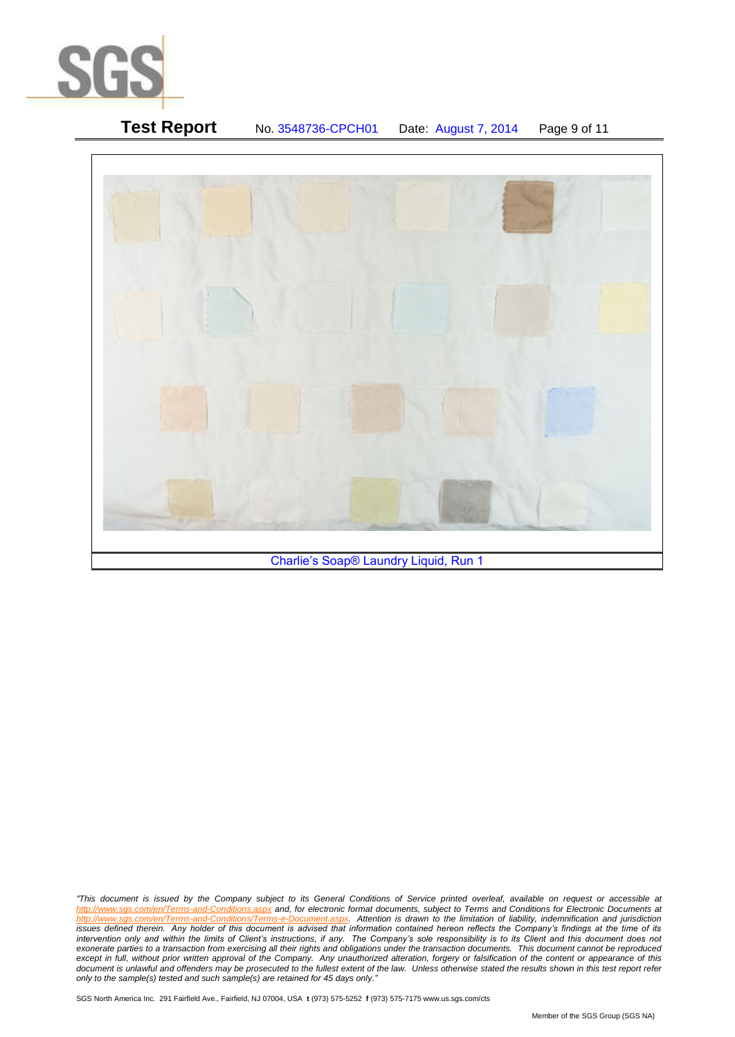

# **Test Report** No. 3548736-CPCH01 Date: August 7, 2014 Page 9 of 11 Charlie's Soap® Laundry Liquid, Run 1

*"This document is issued by the Company subject to its General Conditions of Service printed overleaf, available on request or accessible at http://www.sgs.com/en/Terms-and-Conditions.aspx and, for electronic format documents, subject to Terms and Conditions for Electronic Documents at*  Attention is drawn to the limitation of liability, indemnification and jurisdiction *issues defined therein. Any holder of this document is advised that information contained hereon reflects the Company's findings at the time of its intervention only and within the limits of Client's instructions, if any. The Company's sole responsibility is to its Client and this document does not*  exonerate parties to a transaction from exercising all their rights and obligations under the transaction documents. This document cannot be reproduced except in full, without prior written approval of the Company. Any unauthorized alteration, forgery or falsification of the content or appearance of this document is unlawful and offenders may be prosecuted to the fullest extent of the law. Unless otherwise stated the results shown in this test report refer *only to the sample(s) tested and such sample(s) are retained for 45 days only."*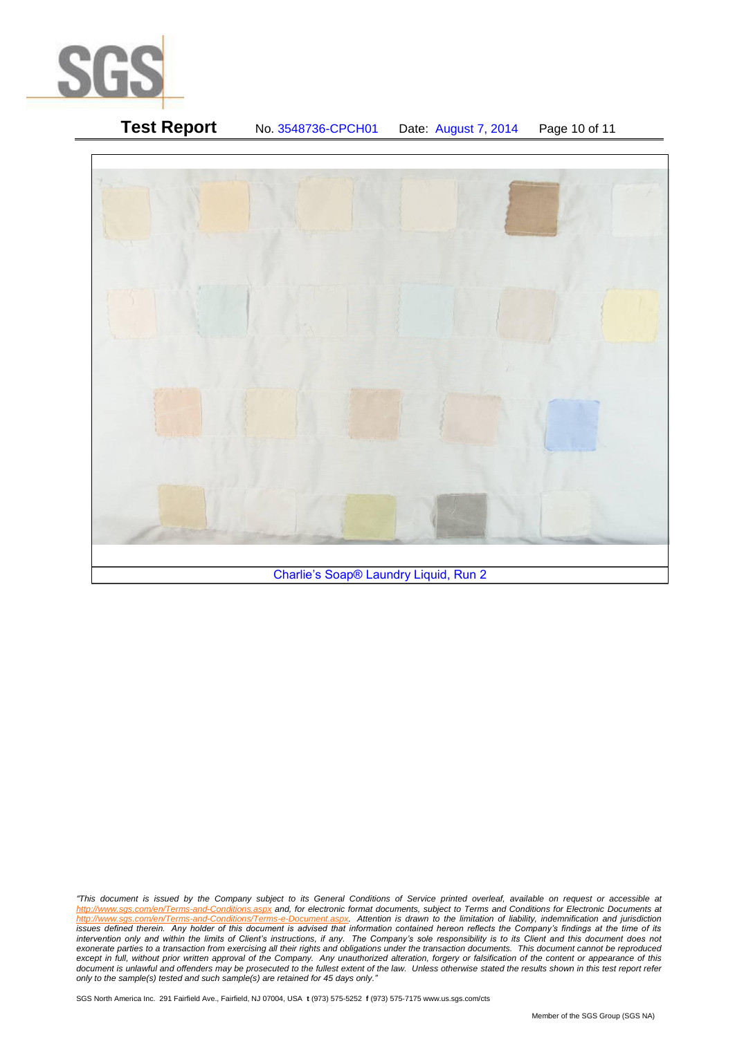

| <b>Test Report</b> | No. 3548736-CPCH01                    | Date: August 7, 2014 | Page 10 of 11 |
|--------------------|---------------------------------------|----------------------|---------------|
|                    |                                       |                      |               |
|                    |                                       |                      |               |
|                    |                                       |                      |               |
|                    |                                       |                      |               |
|                    | Charlie's Soap® Laundry Liquid, Run 2 |                      |               |

*"This document is issued by the Company subject to its General Conditions of Service printed overleaf, available on request or accessible at http://www.sgs.com/en/Terms-and-Conditions.aspx and, for electronic format documents, subject to Terms and Conditions for Electronic Documents at*  Attention is drawn to the limitation of liability, indemnification and jurisdiction *issues defined therein. Any holder of this document is advised that information contained hereon reflects the Company's findings at the time of its intervention only and within the limits of Client's instructions, if any. The Company's sole responsibility is to its Client and this document does not*  exonerate parties to a transaction from exercising all their rights and obligations under the transaction documents. This document cannot be reproduced except in full, without prior written approval of the Company. Any unauthorized alteration, forgery or falsification of the content or appearance of this document is unlawful and offenders may be prosecuted to the fullest extent of the law. Unless otherwise stated the results shown in this test report refer *only to the sample(s) tested and such sample(s) are retained for 45 days only."*